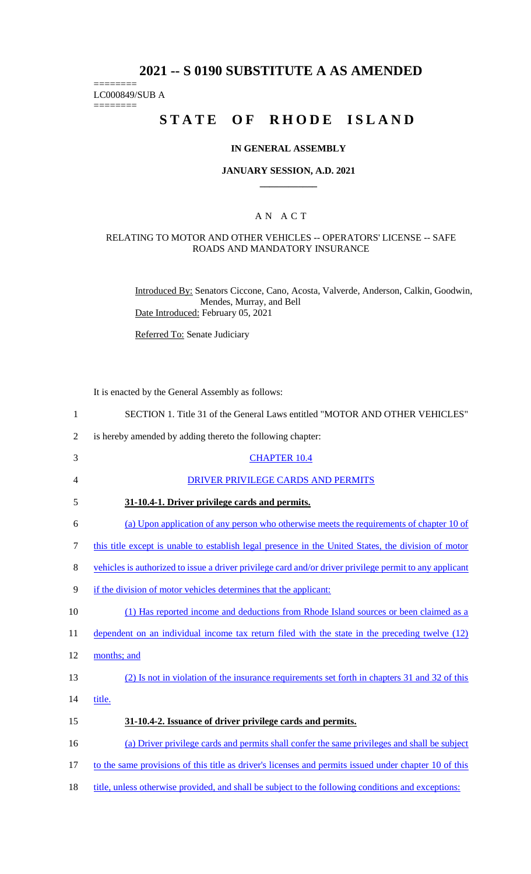# **2021 -- S 0190 SUBSTITUTE A AS AMENDED**

======== LC000849/SUB A

========

# **STATE OF RHODE ISLAND**

### **IN GENERAL ASSEMBLY**

#### **JANUARY SESSION, A.D. 2021 \_\_\_\_\_\_\_\_\_\_\_\_**

### A N A C T

### RELATING TO MOTOR AND OTHER VEHICLES -- OPERATORS' LICENSE -- SAFE ROADS AND MANDATORY INSURANCE

Introduced By: Senators Ciccone, Cano, Acosta, Valverde, Anderson, Calkin, Goodwin, Mendes, Murray, and Bell Date Introduced: February 05, 2021

Referred To: Senate Judiciary

It is enacted by the General Assembly as follows:

| $\mathbf{1}$   | SECTION 1. Title 31 of the General Laws entitled "MOTOR AND OTHER VEHICLES"                             |
|----------------|---------------------------------------------------------------------------------------------------------|
| $\overline{2}$ | is hereby amended by adding thereto the following chapter:                                              |
| 3              | <b>CHAPTER 10.4</b>                                                                                     |
| 4              | DRIVER PRIVILEGE CARDS AND PERMITS                                                                      |
| 5              | 31-10.4-1. Driver privilege cards and permits.                                                          |
| 6              | (a) Upon application of any person who otherwise meets the requirements of chapter 10 of                |
| 7              | this title except is unable to establish legal presence in the United States, the division of motor     |
| 8              | vehicles is authorized to issue a driver privilege card and/or driver privilege permit to any applicant |
| 9              | if the division of motor vehicles determines that the applicant:                                        |
| 10             | (1) Has reported income and deductions from Rhode Island sources or been claimed as a                   |
| 11             | dependent on an individual income tax return filed with the state in the preceding twelve (12)          |
| 12             | months; and                                                                                             |
| 13             | (2) Is not in violation of the insurance requirements set forth in chapters 31 and 32 of this           |
| 14             | title.                                                                                                  |
| 15             | 31-10.4-2. Issuance of driver privilege cards and permits.                                              |
| 16             | (a) Driver privilege cards and permits shall confer the same privileges and shall be subject            |
| 17             | to the same provisions of this title as driver's licenses and permits issued under chapter 10 of this   |
| 18             | title, unless otherwise provided, and shall be subject to the following conditions and exceptions:      |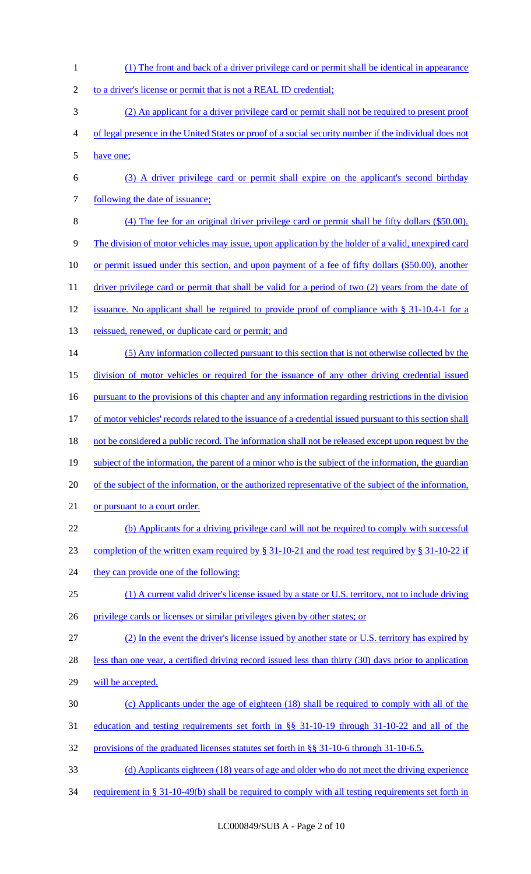(1) The front and back of a driver privilege card or permit shall be identical in appearance 2 to a driver's license or permit that is not a REAL ID credential; (2) An applicant for a driver privilege card or permit shall not be required to present proof of legal presence in the United States or proof of a social security number if the individual does not have one; (3) A driver privilege card or permit shall expire on the applicant's second birthday 7 following the date of issuance; (4) The fee for an original driver privilege card or permit shall be fifty dollars (\$50.00). The division of motor vehicles may issue, upon application by the holder of a valid, unexpired card or permit issued under this section, and upon payment of a fee of fifty dollars (\$50.00), another 11 driver privilege card or permit that shall be valid for a period of two (2) years from the date of issuance. No applicant shall be required to provide proof of compliance with § 31-10.4-1 for a 13 reissued, renewed, or duplicate card or permit; and (5) Any information collected pursuant to this section that is not otherwise collected by the division of motor vehicles or required for the issuance of any other driving credential issued 16 pursuant to the provisions of this chapter and any information regarding restrictions in the division 17 of motor vehicles' records related to the issuance of a credential issued pursuant to this section shall 18 not be considered a public record. The information shall not be released except upon request by the 19 subject of the information, the parent of a minor who is the subject of the information, the guardian 20 of the subject of the information, or the authorized representative of the subject of the information, 21 or pursuant to a court order. (b) Applicants for a driving privilege card will not be required to comply with successful completion of the written exam required by § 31-10-21 and the road test required by § 31-10-22 if 24 they can provide one of the following: (1) A current valid driver's license issued by a state or U.S. territory, not to include driving privilege cards or licenses or similar privileges given by other states; or (2) In the event the driver's license issued by another state or U.S. territory has expired by 28 less than one year, a certified driving record issued less than thirty (30) days prior to application will be accepted. (c) Applicants under the age of eighteen (18) shall be required to comply with all of the education and testing requirements set forth in §§ 31-10-19 through 31-10-22 and all of the provisions of the graduated licenses statutes set forth in §§ 31-10-6 through 31-10-6.5. (d) Applicants eighteen (18) years of age and older who do not meet the driving experience 34 requirement in § 31-10-49(b) shall be required to comply with all testing requirements set forth in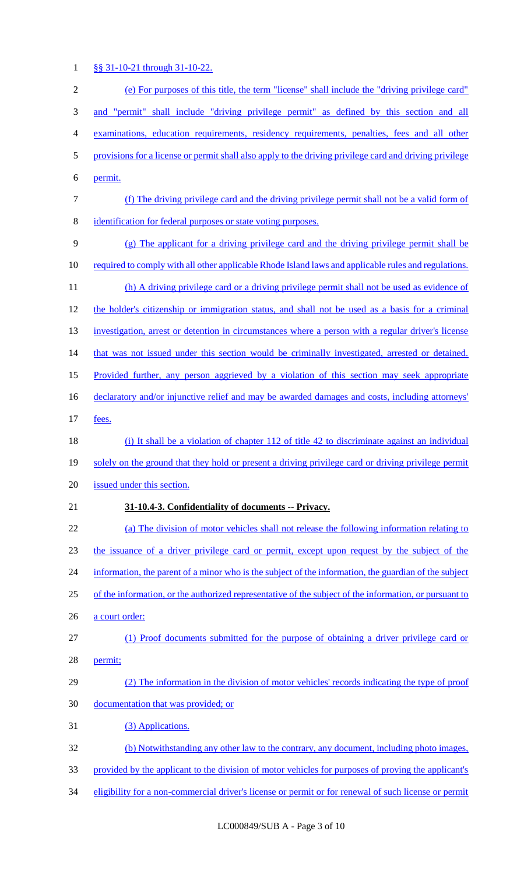## 1 §§ 31-10-21 through 31-10-22.

| $\overline{c}$   | (e) For purposes of this title, the term "license" shall include the "driving privilege card"           |  |  |  |
|------------------|---------------------------------------------------------------------------------------------------------|--|--|--|
| 3                | and "permit" shall include "driving privilege permit" as defined by this section and all                |  |  |  |
| $\overline{4}$   | examinations, education requirements, residency requirements, penalties, fees and all other             |  |  |  |
| 5                | provisions for a license or permit shall also apply to the driving privilege card and driving privilege |  |  |  |
| 6                | permit.                                                                                                 |  |  |  |
| $\boldsymbol{7}$ | (f) The driving privilege card and the driving privilege permit shall not be a valid form of            |  |  |  |
| $8\,$            | identification for federal purposes or state voting purposes.                                           |  |  |  |
| $\overline{9}$   | (g) The applicant for a driving privilege card and the driving privilege permit shall be                |  |  |  |
| 10               | required to comply with all other applicable Rhode Island laws and applicable rules and regulations.    |  |  |  |
| 11               | (h) A driving privilege card or a driving privilege permit shall not be used as evidence of             |  |  |  |
| 12               | the holder's citizenship or immigration status, and shall not be used as a basis for a criminal         |  |  |  |
| 13               | investigation, arrest or detention in circumstances where a person with a regular driver's license      |  |  |  |
| 14               | that was not issued under this section would be criminally investigated, arrested or detained.          |  |  |  |
| 15               | Provided further, any person aggrieved by a violation of this section may seek appropriate              |  |  |  |
| 16               | declaratory and/or injunctive relief and may be awarded damages and costs, including attorneys'         |  |  |  |
| 17               | fees.                                                                                                   |  |  |  |
| 18               | (i) It shall be a violation of chapter 112 of title 42 to discriminate against an individual            |  |  |  |
| 19               | solely on the ground that they hold or present a driving privilege card or driving privilege permit     |  |  |  |
| 20               | issued under this section.                                                                              |  |  |  |
| 21               | 31-10.4-3. Confidentiality of documents -- Privacy.                                                     |  |  |  |
| 22               | (a) The division of motor vehicles shall not release the following information relating to              |  |  |  |
| 23               | the issuance of a driver privilege card or permit, except upon request by the subject of the            |  |  |  |
| 24               | information, the parent of a minor who is the subject of the information, the guardian of the subject   |  |  |  |
| 25               | of the information, or the authorized representative of the subject of the information, or pursuant to  |  |  |  |
| 26               | a court order:                                                                                          |  |  |  |
| 27               | (1) Proof documents submitted for the purpose of obtaining a driver privilege card or                   |  |  |  |
| 28               | permit;                                                                                                 |  |  |  |
| 29               | (2) The information in the division of motor vehicles' records indicating the type of proof             |  |  |  |
| 30               | documentation that was provided; or                                                                     |  |  |  |
| 31               | (3) Applications.                                                                                       |  |  |  |
| 32               | (b) Notwithstanding any other law to the contrary, any document, including photo images,                |  |  |  |
| 33               | provided by the applicant to the division of motor vehicles for purposes of proving the applicant's     |  |  |  |
| 34               | eligibility for a non-commercial driver's license or permit or for renewal of such license or permit    |  |  |  |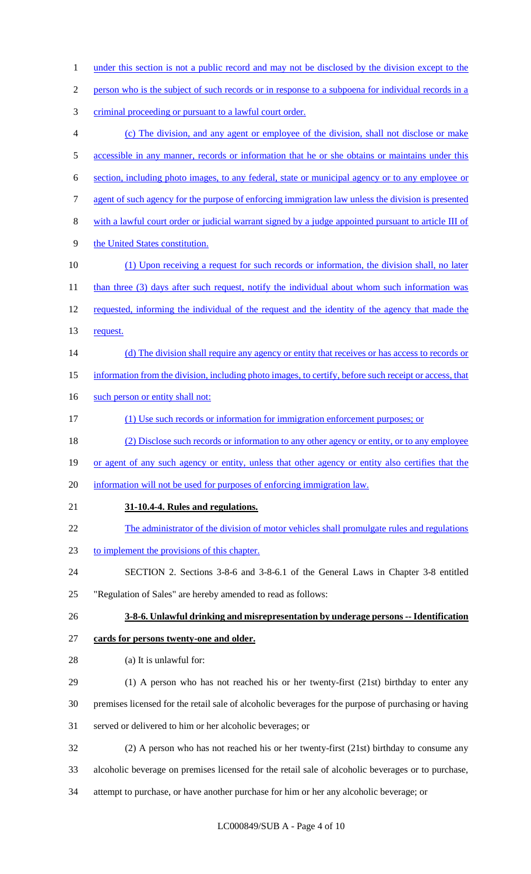| $\mathbf{1}$   | under this section is not a public record and may not be disclosed by the division except to the       |
|----------------|--------------------------------------------------------------------------------------------------------|
| $\overline{c}$ | person who is the subject of such records or in response to a subpoena for individual records in a     |
| 3              | criminal proceeding or pursuant to a lawful court order.                                               |
| 4              | (c) The division, and any agent or employee of the division, shall not disclose or make                |
| 5              | accessible in any manner, records or information that he or she obtains or maintains under this        |
| 6              | section, including photo images, to any federal, state or municipal agency or to any employee or       |
| 7              | agent of such agency for the purpose of enforcing immigration law unless the division is presented     |
| 8              | with a lawful court order or judicial warrant signed by a judge appointed pursuant to article III of   |
| 9              | the United States constitution.                                                                        |
| 10             | (1) Upon receiving a request for such records or information, the division shall, no later             |
| 11             | than three (3) days after such request, notify the individual about whom such information was          |
| 12             | requested, informing the individual of the request and the identity of the agency that made the        |
| 13             | request.                                                                                               |
| 14             | (d) The division shall require any agency or entity that receives or has access to records or          |
| 15             | information from the division, including photo images, to certify, before such receipt or access, that |
| 16             | such person or entity shall not:                                                                       |
| 17             | (1) Use such records or information for immigration enforcement purposes; or                           |
| 18             | (2) Disclose such records or information to any other agency or entity, or to any employee             |
| 19             | or agent of any such agency or entity, unless that other agency or entity also certifies that the      |
| 20             | information will not be used for purposes of enforcing immigration law.                                |
| 21             | 31-10.4-4. Rules and regulations.                                                                      |
| 22             | The administrator of the division of motor vehicles shall promulgate rules and regulations             |
| 23             | to implement the provisions of this chapter.                                                           |
| 24             | SECTION 2. Sections 3-8-6 and 3-8-6.1 of the General Laws in Chapter 3-8 entitled                      |
| 25             | "Regulation of Sales" are hereby amended to read as follows:                                           |
| 26             | 3-8-6. Unlawful drinking and misrepresentation by underage persons -- Identification                   |
| 27             | cards for persons twenty-one and older.                                                                |
| 28             | (a) It is unlawful for:                                                                                |
| 29             | (1) A person who has not reached his or her twenty-first (21st) birthday to enter any                  |
| 30             | premises licensed for the retail sale of alcoholic beverages for the purpose of purchasing or having   |
| 31             | served or delivered to him or her alcoholic beverages; or                                              |
| 32             | (2) A person who has not reached his or her twenty-first (21st) birthday to consume any                |
| 33             | alcoholic beverage on premises licensed for the retail sale of alcoholic beverages or to purchase,     |
| 34             | attempt to purchase, or have another purchase for him or her any alcoholic beverage; or                |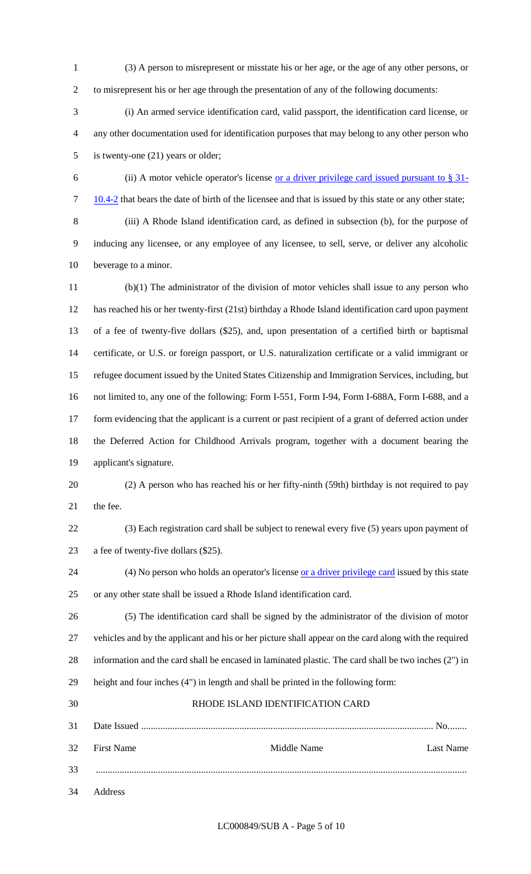(3) A person to misrepresent or misstate his or her age, or the age of any other persons, or to misrepresent his or her age through the presentation of any of the following documents:

 (i) An armed service identification card, valid passport, the identification card license, or any other documentation used for identification purposes that may belong to any other person who is twenty-one (21) years or older;

6 (ii) A motor vehicle operator's license <u>or a driver privilege card issued pursuant to  $\S 31$ -</u> 7 10.4-2 that bears the date of birth of the licensee and that is issued by this state or any other state;

 (iii) A Rhode Island identification card, as defined in subsection (b), for the purpose of inducing any licensee, or any employee of any licensee, to sell, serve, or deliver any alcoholic beverage to a minor.

 (b)(1) The administrator of the division of motor vehicles shall issue to any person who has reached his or her twenty-first (21st) birthday a Rhode Island identification card upon payment of a fee of twenty-five dollars (\$25), and, upon presentation of a certified birth or baptismal certificate, or U.S. or foreign passport, or U.S. naturalization certificate or a valid immigrant or refugee document issued by the United States Citizenship and Immigration Services, including, but not limited to, any one of the following: Form I-551, Form I-94, Form I-688A, Form I-688, and a 17 form evidencing that the applicant is a current or past recipient of a grant of deferred action under the Deferred Action for Childhood Arrivals program, together with a document bearing the applicant's signature.

 (2) A person who has reached his or her fifty-ninth (59th) birthday is not required to pay the fee.

 (3) Each registration card shall be subject to renewal every five (5) years upon payment of a fee of twenty-five dollars (\$25).

24 (4) No person who holds an operator's license or a driver privilege card issued by this state or any other state shall be issued a Rhode Island identification card.

 (5) The identification card shall be signed by the administrator of the division of motor vehicles and by the applicant and his or her picture shall appear on the card along with the required information and the card shall be encased in laminated plastic. The card shall be two inches (2") in height and four inches (4") in length and shall be printed in the following form:

 RHODE ISLAND IDENTIFICATION CARD Date Issued .......................................................................................................................... No........ First Name Middle Name Last Name ........................................................................................................................................................... Address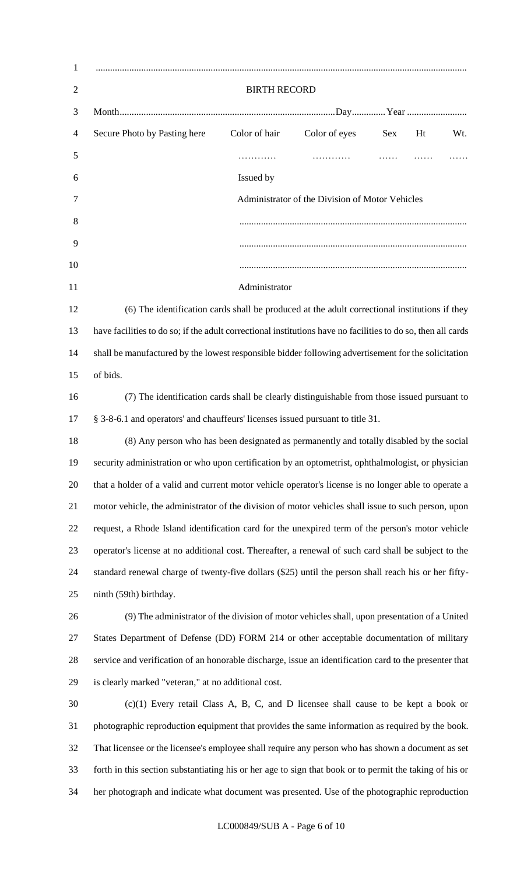| $\mathbf{1}$   |                                                                                                         |                                                                                                              |               |     |    |     |
|----------------|---------------------------------------------------------------------------------------------------------|--------------------------------------------------------------------------------------------------------------|---------------|-----|----|-----|
| $\overline{2}$ | <b>BIRTH RECORD</b>                                                                                     |                                                                                                              |               |     |    |     |
| 3              |                                                                                                         |                                                                                                              |               |     |    |     |
| 4              | Secure Photo by Pasting here                                                                            | Color of hair                                                                                                | Color of eyes | Sex | Ht | Wt. |
| 5              |                                                                                                         | .                                                                                                            | .             |     |    |     |
| 6              |                                                                                                         | Issued by                                                                                                    |               |     |    |     |
| 7              | Administrator of the Division of Motor Vehicles                                                         |                                                                                                              |               |     |    |     |
| 8              |                                                                                                         |                                                                                                              |               |     |    |     |
| 9              |                                                                                                         |                                                                                                              |               |     |    |     |
| 10             |                                                                                                         |                                                                                                              |               |     |    |     |
| 11             |                                                                                                         | Administrator                                                                                                |               |     |    |     |
| 12             | (6) The identification cards shall be produced at the adult correctional institutions if they           |                                                                                                              |               |     |    |     |
| 13             |                                                                                                         | have facilities to do so; if the adult correctional institutions have no facilities to do so, then all cards |               |     |    |     |
| 14             |                                                                                                         | shall be manufactured by the lowest responsible bidder following advertisement for the solicitation          |               |     |    |     |
| 15             | of bids.                                                                                                |                                                                                                              |               |     |    |     |
| 16             | (7) The identification cards shall be clearly distinguishable from those issued pursuant to             |                                                                                                              |               |     |    |     |
| 17             | § 3-8-6.1 and operators' and chauffeurs' licenses issued pursuant to title 31.                          |                                                                                                              |               |     |    |     |
| 18             |                                                                                                         | (8) Any person who has been designated as permanently and totally disabled by the social                     |               |     |    |     |
| 19             |                                                                                                         | security administration or who upon certification by an optometrist, ophthalmologist, or physician           |               |     |    |     |
| 20             | that a holder of a valid and current motor vehicle operator's license is no longer able to operate a    |                                                                                                              |               |     |    |     |
| 21             | motor vehicle, the administrator of the division of motor vehicles shall issue to such person, upon     |                                                                                                              |               |     |    |     |
| 22             |                                                                                                         | request, a Rhode Island identification card for the unexpired term of the person's motor vehicle             |               |     |    |     |
| 23             |                                                                                                         | operator's license at no additional cost. Thereafter, a renewal of such card shall be subject to the         |               |     |    |     |
| 24             |                                                                                                         | standard renewal charge of twenty-five dollars (\$25) until the person shall reach his or her fifty-         |               |     |    |     |
| 25             | ninth (59th) birthday.                                                                                  |                                                                                                              |               |     |    |     |
| 26             | (9) The administrator of the division of motor vehicles shall, upon presentation of a United            |                                                                                                              |               |     |    |     |
| 27             | States Department of Defense (DD) FORM 214 or other acceptable documentation of military                |                                                                                                              |               |     |    |     |
| 28             |                                                                                                         | service and verification of an honorable discharge, issue an identification card to the presenter that       |               |     |    |     |
| 29             | is clearly marked "veteran," at no additional cost.                                                     |                                                                                                              |               |     |    |     |
| 30             |                                                                                                         | $(c)(1)$ Every retail Class A, B, C, and D licensee shall cause to be kept a book or                         |               |     |    |     |
| 31             |                                                                                                         | photographic reproduction equipment that provides the same information as required by the book.              |               |     |    |     |
| 32             |                                                                                                         | That licensee or the licensee's employee shall require any person who has shown a document as set            |               |     |    |     |
| 33             | forth in this section substantiating his or her age to sign that book or to permit the taking of his or |                                                                                                              |               |     |    |     |
| 34             | her photograph and indicate what document was presented. Use of the photographic reproduction           |                                                                                                              |               |     |    |     |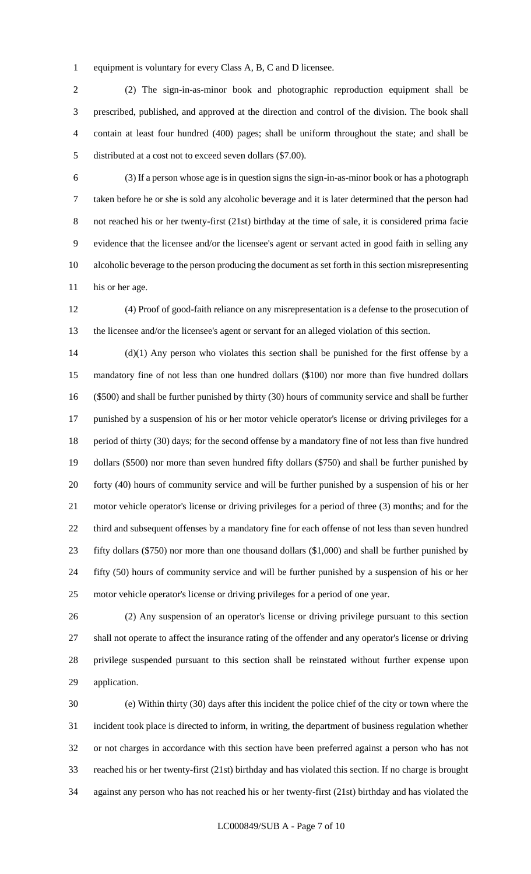equipment is voluntary for every Class A, B, C and D licensee.

 (2) The sign-in-as-minor book and photographic reproduction equipment shall be prescribed, published, and approved at the direction and control of the division. The book shall contain at least four hundred (400) pages; shall be uniform throughout the state; and shall be distributed at a cost not to exceed seven dollars (\$7.00).

 (3) If a person whose age is in question signs the sign-in-as-minor book or has a photograph taken before he or she is sold any alcoholic beverage and it is later determined that the person had not reached his or her twenty-first (21st) birthday at the time of sale, it is considered prima facie evidence that the licensee and/or the licensee's agent or servant acted in good faith in selling any alcoholic beverage to the person producing the document as set forth in this section misrepresenting 11 his or her age.

 (4) Proof of good-faith reliance on any misrepresentation is a defense to the prosecution of the licensee and/or the licensee's agent or servant for an alleged violation of this section.

 (d)(1) Any person who violates this section shall be punished for the first offense by a mandatory fine of not less than one hundred dollars (\$100) nor more than five hundred dollars (\$500) and shall be further punished by thirty (30) hours of community service and shall be further punished by a suspension of his or her motor vehicle operator's license or driving privileges for a period of thirty (30) days; for the second offense by a mandatory fine of not less than five hundred dollars (\$500) nor more than seven hundred fifty dollars (\$750) and shall be further punished by forty (40) hours of community service and will be further punished by a suspension of his or her motor vehicle operator's license or driving privileges for a period of three (3) months; and for the third and subsequent offenses by a mandatory fine for each offense of not less than seven hundred fifty dollars (\$750) nor more than one thousand dollars (\$1,000) and shall be further punished by fifty (50) hours of community service and will be further punished by a suspension of his or her motor vehicle operator's license or driving privileges for a period of one year.

 (2) Any suspension of an operator's license or driving privilege pursuant to this section shall not operate to affect the insurance rating of the offender and any operator's license or driving privilege suspended pursuant to this section shall be reinstated without further expense upon application.

 (e) Within thirty (30) days after this incident the police chief of the city or town where the incident took place is directed to inform, in writing, the department of business regulation whether or not charges in accordance with this section have been preferred against a person who has not reached his or her twenty-first (21st) birthday and has violated this section. If no charge is brought against any person who has not reached his or her twenty-first (21st) birthday and has violated the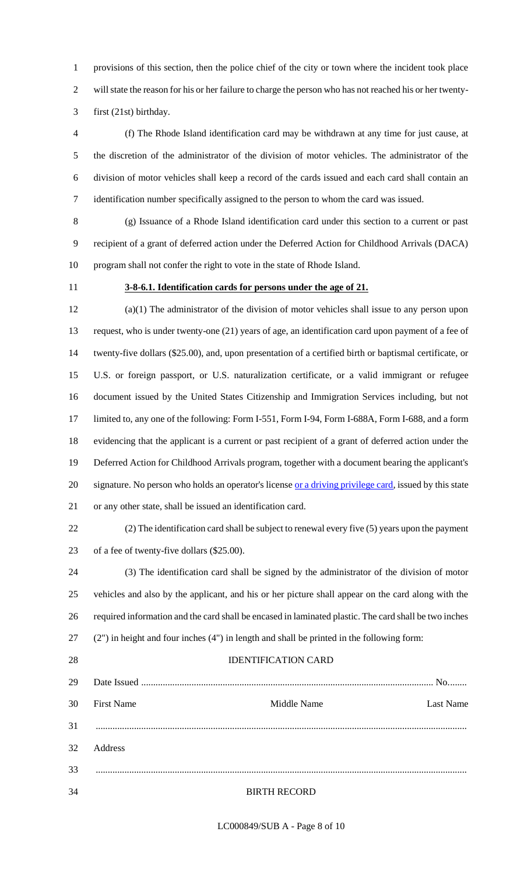provisions of this section, then the police chief of the city or town where the incident took place will state the reason for his or her failure to charge the person who has not reached his or her twenty-first (21st) birthday.

 (f) The Rhode Island identification card may be withdrawn at any time for just cause, at the discretion of the administrator of the division of motor vehicles. The administrator of the division of motor vehicles shall keep a record of the cards issued and each card shall contain an identification number specifically assigned to the person to whom the card was issued.

 (g) Issuance of a Rhode Island identification card under this section to a current or past recipient of a grant of deferred action under the Deferred Action for Childhood Arrivals (DACA) program shall not confer the right to vote in the state of Rhode Island.

### **3-8-6.1. Identification cards for persons under the age of 21.**

 (a)(1) The administrator of the division of motor vehicles shall issue to any person upon request, who is under twenty-one (21) years of age, an identification card upon payment of a fee of twenty-five dollars (\$25.00), and, upon presentation of a certified birth or baptismal certificate, or U.S. or foreign passport, or U.S. naturalization certificate, or a valid immigrant or refugee document issued by the United States Citizenship and Immigration Services including, but not limited to, any one of the following: Form I-551, Form I-94, Form I-688A, Form I-688, and a form evidencing that the applicant is a current or past recipient of a grant of deferred action under the Deferred Action for Childhood Arrivals program, together with a document bearing the applicant's 20 signature. No person who holds an operator's license or a driving privilege card, issued by this state or any other state, shall be issued an identification card.

 (2) The identification card shall be subject to renewal every five (5) years upon the payment of a fee of twenty-five dollars (\$25.00).

 (3) The identification card shall be signed by the administrator of the division of motor vehicles and also by the applicant, and his or her picture shall appear on the card along with the required information and the card shall be encased in laminated plastic. The card shall be two inches (2") in height and four inches (4") in length and shall be printed in the following form:

# IDENTIFICATION CARD

| 29 |                   |             |                  |
|----|-------------------|-------------|------------------|
| 30 | <b>First Name</b> | Middle Name | <b>Last Name</b> |
| 31 |                   |             |                  |
| 32 | <b>Address</b>    |             |                  |
| 33 |                   |             |                  |

#### BIRTH RECORD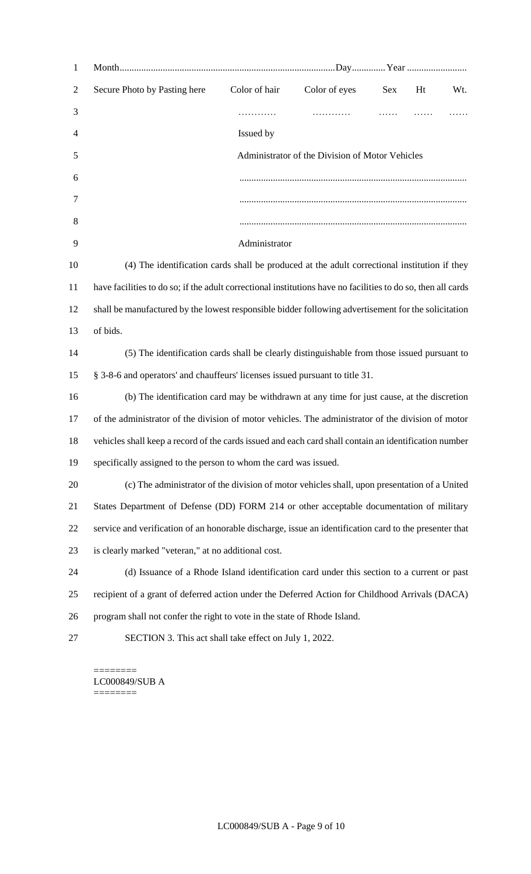| $\mathbf{1}$   |                                                                                                              |               |               |     |    |     |
|----------------|--------------------------------------------------------------------------------------------------------------|---------------|---------------|-----|----|-----|
| $\overline{2}$ | Secure Photo by Pasting here                                                                                 | Color of hair | Color of eyes | Sex | Ht | Wt. |
| 3              |                                                                                                              | .             |               | .   |    |     |
| 4              |                                                                                                              | Issued by     |               |     |    |     |
| 5              | Administrator of the Division of Motor Vehicles                                                              |               |               |     |    |     |
| 6              |                                                                                                              |               |               |     |    |     |
| 7              |                                                                                                              |               |               |     |    |     |
| 8              |                                                                                                              |               |               |     |    |     |
| 9              |                                                                                                              | Administrator |               |     |    |     |
| 10             | (4) The identification cards shall be produced at the adult correctional institution if they                 |               |               |     |    |     |
| 11             | have facilities to do so; if the adult correctional institutions have no facilities to do so, then all cards |               |               |     |    |     |
| 12             | shall be manufactured by the lowest responsible bidder following advertisement for the solicitation          |               |               |     |    |     |
| 13             | of bids.                                                                                                     |               |               |     |    |     |
| 14             | (5) The identification cards shall be clearly distinguishable from those issued pursuant to                  |               |               |     |    |     |
| 15             | § 3-8-6 and operators' and chauffeurs' licenses issued pursuant to title 31.                                 |               |               |     |    |     |
| 16             | (b) The identification card may be withdrawn at any time for just cause, at the discretion                   |               |               |     |    |     |
| 17             | of the administrator of the division of motor vehicles. The administrator of the division of motor           |               |               |     |    |     |
| 18             | vehicles shall keep a record of the cards issued and each card shall contain an identification number        |               |               |     |    |     |
| 19             | specifically assigned to the person to whom the card was issued.                                             |               |               |     |    |     |
| 20             | (c) The administrator of the division of motor vehicles shall, upon presentation of a United                 |               |               |     |    |     |
| 21             | States Department of Defense (DD) FORM 214 or other acceptable documentation of military                     |               |               |     |    |     |
| 22             | service and verification of an honorable discharge, issue an identification card to the presenter that       |               |               |     |    |     |
| 23             | is clearly marked "veteran," at no additional cost.                                                          |               |               |     |    |     |
| 24             | (d) Issuance of a Rhode Island identification card under this section to a current or past                   |               |               |     |    |     |
| 25             | recipient of a grant of deferred action under the Deferred Action for Childhood Arrivals (DACA)              |               |               |     |    |     |
| 26             | program shall not confer the right to vote in the state of Rhode Island.                                     |               |               |     |    |     |
| 27             | SECTION 3. This act shall take effect on July 1, 2022.                                                       |               |               |     |    |     |
|                |                                                                                                              |               |               |     |    |     |

 $=$ LC000849/SUB A ========